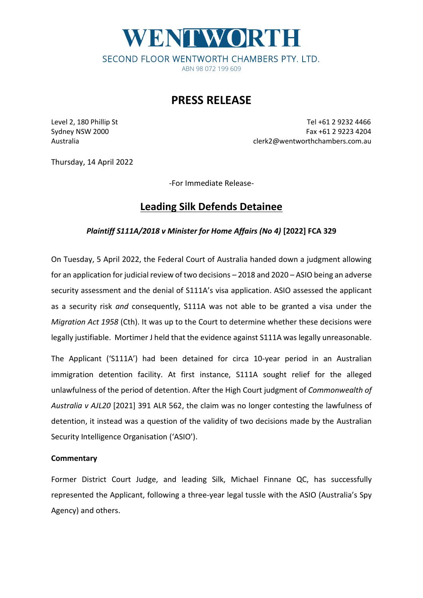# WENTWORTH SECOND FLOOR WENTWORTH CHAMBERS PTY. LTD. ABN 98 072 199 609

### **PRESS RELEASE**

Level 2, 180 Phillip St Tel +61 2 9232 4466 Sydney NSW 2000 Fax +61 2 9223 4204 Australia clerk2@wentworthchambers.com.au

Thursday, 14 April 2022

-For Immediate Release-

## **Leading Silk Defends Detainee**

### *Plaintiff S111A/2018 v Minister for Home Affairs (No 4)* **[2022] FCA 329**

On Tuesday, 5 April 2022, the Federal Court of Australia handed down a judgment allowing for an application for judicial review of two decisions – 2018 and 2020 – ASIO being an adverse security assessment and the denial of S111A's visa application. ASIO assessed the applicant as a security risk *and* consequently, S111A was not able to be granted a visa under the *Migration Act 1958* (Cth). It was up to the Court to determine whether these decisions were legally justifiable. Mortimer J held that the evidence against S111A was legally unreasonable.

The Applicant ('S111A') had been detained for circa 10-year period in an Australian immigration detention facility. At first instance, S111A sought relief for the alleged unlawfulness of the period of detention. After the High Court judgment of *Commonwealth of Australia v AJL20* [2021] 391 ALR 562, the claim was no longer contesting the lawfulness of detention, it instead was a question of the validity of two decisions made by the Australian Security Intelligence Organisation ('ASIO').

#### **Commentary**

Former District Court Judge, and leading Silk, Michael Finnane QC, has successfully represented the Applicant, following a three-year legal tussle with the ASIO (Australia's Spy Agency) and others.